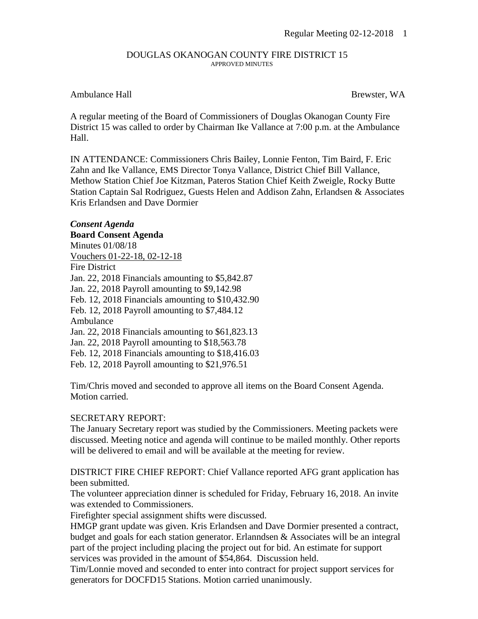## DOUGLAS OKANOGAN COUNTY FIRE DISTRICT 15 APPROVED MINUTES

## Ambulance Hall Brewster, WA

A regular meeting of the Board of Commissioners of Douglas Okanogan County Fire District 15 was called to order by Chairman Ike Vallance at 7:00 p.m. at the Ambulance Hall.

IN ATTENDANCE: Commissioners Chris Bailey, Lonnie Fenton, Tim Baird, F. Eric Zahn and Ike Vallance, EMS Director Tonya Vallance, District Chief Bill Vallance, Methow Station Chief Joe Kitzman, Pateros Station Chief Keith Zweigle, Rocky Butte Station Captain Sal Rodriguez, Guests Helen and Addison Zahn, Erlandsen & Associates Kris Erlandsen and Dave Dormier

## *Consent Agenda* **Board Consent Agenda**

Minutes 01/08/18 Vouchers 01-22-18, 02-12-18 Fire District Jan. 22, 2018 Financials amounting to \$5,842.87 Jan. 22, 2018 Payroll amounting to \$9,142.98 Feb. 12, 2018 Financials amounting to \$10,432.90 Feb. 12, 2018 Payroll amounting to \$7,484.12 Ambulance Jan. 22, 2018 Financials amounting to \$61,823.13 Jan. 22, 2018 Payroll amounting to \$18,563.78 Feb. 12, 2018 Financials amounting to \$18,416.03 Feb. 12, 2018 Payroll amounting to \$21,976.51

Tim/Chris moved and seconded to approve all items on the Board Consent Agenda. Motion carried.

## SECRETARY REPORT:

The January Secretary report was studied by the Commissioners. Meeting packets were discussed. Meeting notice and agenda will continue to be mailed monthly. Other reports will be delivered to email and will be available at the meeting for review.

DISTRICT FIRE CHIEF REPORT: Chief Vallance reported AFG grant application has been submitted.

The volunteer appreciation dinner is scheduled for Friday, February 16, 2018. An invite was extended to Commissioners.

Firefighter special assignment shifts were discussed.

HMGP grant update was given. Kris Erlandsen and Dave Dormier presented a contract, budget and goals for each station generator. Erlanndsen & Associates will be an integral part of the project including placing the project out for bid. An estimate for support services was provided in the amount of \$54,864. Discussion held.

Tim/Lonnie moved and seconded to enter into contract for project support services for generators for DOCFD15 Stations. Motion carried unanimously.